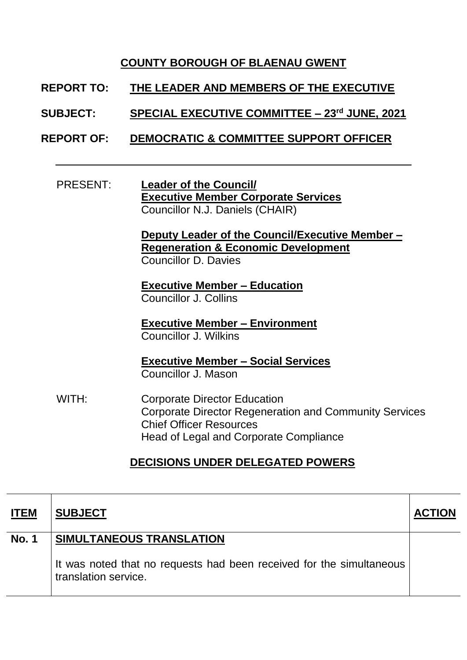## **COUNTY BOROUGH OF BLAENAU GWENT**

- **REPORT TO: THE LEADER AND MEMBERS OF THE EXECUTIVE**
- **SUBJECT: SPECIAL EXECUTIVE COMMITTEE – 23rd JUNE, 2021**
- **REPORT OF: DEMOCRATIC & COMMITTEE SUPPORT OFFICER**
	- PRESENT: **Leader of the Council/ Executive Member Corporate Services** Councillor N.J. Daniels (CHAIR)

**Deputy Leader of the Council/Executive Member – Regeneration & Economic Development**  Councillor D. Davies

**Executive Member – Education** Councillor J. Collins

**Executive Member – Environment** Councillor J. Wilkins

**Executive Member – Social Services** Councillor J. Mason

WITH: Corporate Director Education Corporate Director Regeneration and Community Services Chief Officer Resources Head of Legal and Corporate Compliance

## **DECISIONS UNDER DELEGATED POWERS**

| <b>ITEM</b>  | <b>SUBJECT</b>                                                                               | <b>ACTION</b> |
|--------------|----------------------------------------------------------------------------------------------|---------------|
| <b>No. 1</b> | SIMULTANEOUS TRANSLATION                                                                     |               |
|              | It was noted that no requests had been received for the simultaneous<br>translation service. |               |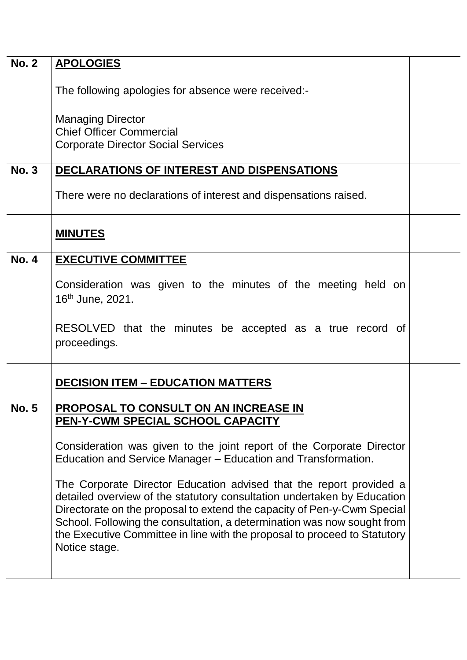| <b>No. 2</b> | <b>APOLOGIES</b>                                                                                                                                                                                                                                                                                                                                                                                   |  |
|--------------|----------------------------------------------------------------------------------------------------------------------------------------------------------------------------------------------------------------------------------------------------------------------------------------------------------------------------------------------------------------------------------------------------|--|
|              | The following apologies for absence were received:-                                                                                                                                                                                                                                                                                                                                                |  |
|              | <b>Managing Director</b><br><b>Chief Officer Commercial</b>                                                                                                                                                                                                                                                                                                                                        |  |
|              | <b>Corporate Director Social Services</b>                                                                                                                                                                                                                                                                                                                                                          |  |
| <b>No. 3</b> | DECLARATIONS OF INTEREST AND DISPENSATIONS                                                                                                                                                                                                                                                                                                                                                         |  |
|              | There were no declarations of interest and dispensations raised.                                                                                                                                                                                                                                                                                                                                   |  |
|              | <b>MINUTES</b>                                                                                                                                                                                                                                                                                                                                                                                     |  |
| <b>No. 4</b> | <b>EXECUTIVE COMMITTEE</b>                                                                                                                                                                                                                                                                                                                                                                         |  |
|              | Consideration was given to the minutes of the meeting held on<br>16 <sup>th</sup> June, 2021.                                                                                                                                                                                                                                                                                                      |  |
|              | RESOLVED that the minutes be accepted as a true record of<br>proceedings.                                                                                                                                                                                                                                                                                                                          |  |
|              | <b>DECISION ITEM - EDUCATION MATTERS</b>                                                                                                                                                                                                                                                                                                                                                           |  |
| <b>No. 5</b> | PROPOSAL TO CONSULT ON AN INCREASE IN<br>PEN-Y-CWM SPECIAL SCHOOL CAPACITY                                                                                                                                                                                                                                                                                                                         |  |
|              | Consideration was given to the joint report of the Corporate Director<br>Education and Service Manager – Education and Transformation.                                                                                                                                                                                                                                                             |  |
|              | The Corporate Director Education advised that the report provided a<br>detailed overview of the statutory consultation undertaken by Education<br>Directorate on the proposal to extend the capacity of Pen-y-Cwm Special<br>School. Following the consultation, a determination was now sought from<br>the Executive Committee in line with the proposal to proceed to Statutory<br>Notice stage. |  |
|              |                                                                                                                                                                                                                                                                                                                                                                                                    |  |